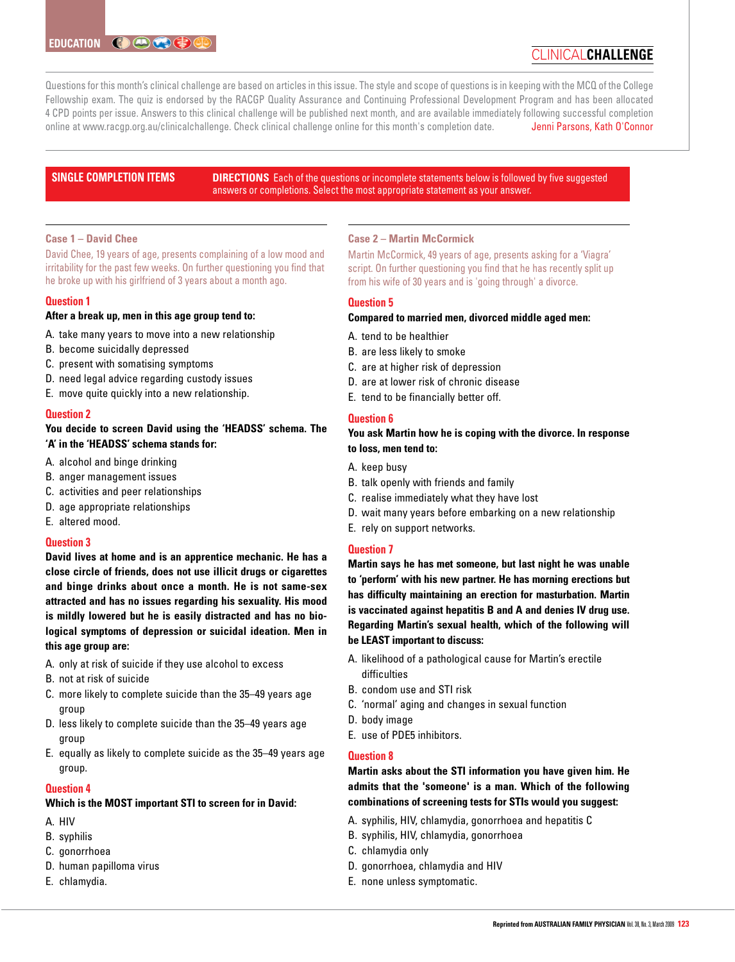# clinical**challenge**

Questions for this month's clinical challenge are based on articles in this issue. The style and scope of questions is in keeping with the MCQ of the College Fellowship exam. The quiz is endorsed by the RACGP Quality Assurance and Continuing Professional Development Program and has been allocated 4 CPD points per issue. Answers to this clinical challenge will be published next month, and are available immediately following successful completion online at www.racgp.org.au/clinicalchallenge. Check clinical challenge online for this month's completion date. **Jenni Parsons, Kath O'Connor** 

# **SINGLE COMPLETION ITEMS**

**DIRECTIONS** Each of the questions or incomplete statements below is followed by five suggested answers or completions. Select the most appropriate statement as your answer.

# **Case 1 – David Chee**

David Chee, 19 years of age, presents complaining of a low mood and irritability for the past few weeks. On further questioning you find that he broke up with his girlfriend of 3 years about a month ago.

# **Question 1**

# **After a break up, men in this age group tend to:**

- A. take many years to move into a new relationship
- B. become suicidally depressed
- C. present with somatising symptoms
- D. need legal advice regarding custody issues
- E. move quite quickly into a new relationship.

# **Question 2**

# **You decide to screen David using the 'HEADSS' schema. The 'A' in the 'HEADSS' schema stands for:**

- A. alcohol and binge drinking
- B. anger management issues
- C. activities and peer relationships
- D. age appropriate relationships
- E. altered mood.

# **Question 3**

**David lives at home and is an apprentice mechanic. He has a close circle of friends, does not use illicit drugs or cigarettes and binge drinks about once a month. He is not same-sex attracted and has no issues regarding his sexuality. His mood is mildly lowered but he is easily distracted and has no biological symptoms of depression or suicidal ideation. Men in this age group are:** 

- A. only at risk of suicide if they use alcohol to excess
- B. not at risk of suicide
- C. more likely to complete suicide than the 35–49 years age group
- D. less likely to complete suicide than the 35–49 years age group
- E. equally as likely to complete suicide as the 35–49 years age group.

# **Question 4**

# **Which is the MOST important STI to screen for in David:**

- A. HIV
- B. syphilis
- C. gonorrhoea
- D. human papilloma virus
- E. chlamydia.

# **Case 2 – Martin McCormick**

Martin McCormick, 49 years of age, presents asking for a 'Viagra' script. On further questioning you find that he has recently split up from his wife of 30 years and is 'going through' a divorce.

# **Question 5**

# **Compared to married men, divorced middle aged men:**

- A. tend to be healthier
- B. are less likely to smoke
- C. are at higher risk of depression
- D. are at lower risk of chronic disease
- E. tend to be financially better off.

# **Question 6**

# **You ask Martin how he is coping with the divorce. In response to loss, men tend to:**

- A. keep busy
- B. talk openly with friends and family
- C. realise immediately what they have lost
- D. wait many years before embarking on a new relationship
- E. rely on support networks.

# **Question 7**

**Martin says he has met someone, but last night he was unable to 'perform' with his new partner. He has morning erections but has difficulty maintaining an erection for masturbation. Martin is vaccinated against hepatitis B and A and denies IV drug use. Regarding Martin's sexual health, which of the following will be LEAST important to discuss:**

- A. likelihood of a pathological cause for Martin's erectile difficulties
- B. condom use and STI risk
- C. 'normal' aging and changes in sexual function
- D. body image
- E. use of PDE5 inhibitors.

# **Question 8**

# **Martin asks about the STI information you have given him. He admits that the 'someone' is a man. Which of the following combinations of screening tests for STIs would you suggest:**

- A. syphilis, HIV, chlamydia, gonorrhoea and hepatitis C
- B. syphilis, HIV, chlamydia, gonorrhoea
- C. chlamydia only
- D. gonorrhoea, chlamydia and HIV
- E. none unless symptomatic.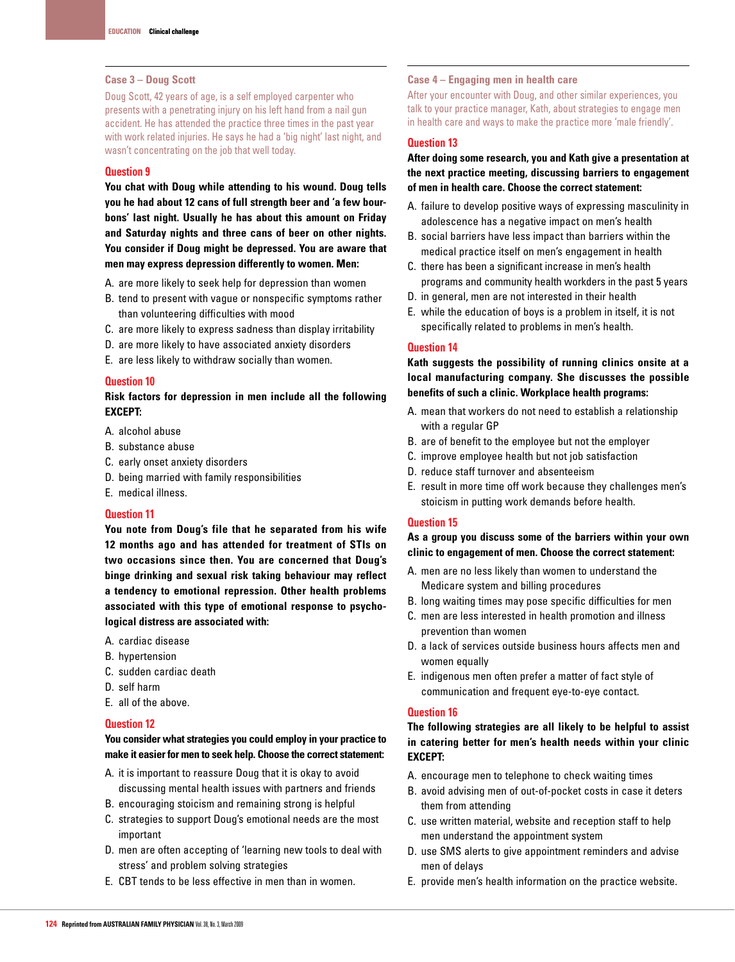### **Case 3 – Doug Scott**

Doug Scott, 42 years of age, is a self employed carpenter who presents with a penetrating injury on his left hand from a nail gun accident. He has attended the practice three times in the past year with work related injuries. He says he had a 'big night' last night, and wasn't concentrating on the job that well today.

# **Question 9**

**You chat with Doug while attending to his wound. Doug tells you he had about 12 cans of full strength beer and 'a few bourbons' last night. Usually he has about this amount on Friday and Saturday nights and three cans of beer on other nights. You consider if Doug might be depressed. You are aware that men may express depression differently to women. Men:** 

- A. are more likely to seek help for depression than women
- B. tend to present with vague or nonspecific symptoms rather than volunteering difficulties with mood
- C. are more likely to express sadness than display irritability
- D. are more likely to have associated anxiety disorders
- E. are less likely to withdraw socially than women.

#### **Question 10**

# **Risk factors for depression in men include all the following EXCEPT:**

A. alcohol abuse

- B. substance abuse
- C. early onset anxiety disorders
- D. being married with family responsibilities
- E. medical illness.

# **Question 11**

**You note from Doug's file that he separated from his wife 12 months ago and has attended for treatment of STIs on two occasions since then. You are concerned that Doug's binge drinking and sexual risk taking behaviour may reflect a tendency to emotional repression. Other health problems associated with this type of emotional response to psychological distress are associated with:**

- A. cardiac disease
- B. hypertension
- C. sudden cardiac death
- D. self harm
- E. all of the above.

# **Question 12**

# **You consider what strategies you could employ in your practice to make it easier for men to seek help. Choose the correct statement:**

- A. it is important to reassure Doug that it is okay to avoid discussing mental health issues with partners and friends
- B. encouraging stoicism and remaining strong is helpful
- C. strategies to support Doug's emotional needs are the most important
- D. men are often accepting of 'learning new tools to deal with stress' and problem solving strategies
- E. CBT tends to be less effective in men than in women.

# **Case 4 – Engaging men in health care**

After your encounter with Doug, and other similar experiences, you talk to your practice manager, Kath, about strategies to engage men in health care and ways to make the practice more 'male friendly'.

# **Question 13**

**After doing some research, you and Kath give a presentation at the next practice meeting, discussing barriers to engagement of men in health care. Choose the correct statement:**

- A. failure to develop positive ways of expressing masculinity in adolescence has a negative impact on men's health
- B. social barriers have less impact than barriers within the medical practice itself on men's engagement in health
- C. there has been a significant increase in men's health programs and community health workders in the past 5 years
- D. in general, men are not interested in their health
- E. while the education of boys is a problem in itself, it is not specifically related to problems in men's health.

#### **Question 14**

**Kath suggests the possibility of running clinics onsite at a local manufacturing company. She discusses the possible benefits of such a clinic. Workplace health programs:**

- A. mean that workers do not need to establish a relationship with a regular GP
- B. are of benefit to the employee but not the employer
- C. improve employee health but not job satisfaction
- D. reduce staff turnover and absenteeism
- E. result in more time off work because they challenges men's stoicism in putting work demands before health.

# **Question 15**

**As a group you discuss some of the barriers within your own clinic to engagement of men. Choose the correct statement:**

- A. men are no less likely than women to understand the Medicare system and billing procedures
- B. long waiting times may pose specific difficulties for men
- C. men are less interested in health promotion and illness prevention than women
- D. a lack of services outside business hours affects men and women equally
- E. indigenous men often prefer a matter of fact style of communication and frequent eye-to-eye contact.

### **Question 16**

**The following strategies are all likely to be helpful to assist in catering better for men's health needs within your clinic EXCEPT:**

- A. encourage men to telephone to check waiting times
- B. avoid advising men of out-of-pocket costs in case it deters them from attending
- C. use written material, website and reception staff to help men understand the appointment system
- D. use SMS alerts to give appointment reminders and advise men of delays
- E. provide men's health information on the practice website.